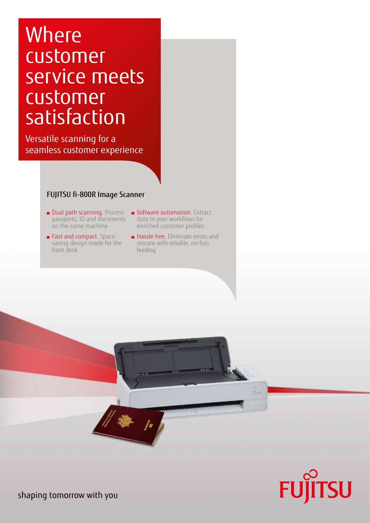# **Where** customer service meets customer satisfaction

Versatile scanning for a seamless customer experience

### FUJITSU fi-800R Image Scanner

- Dual path scanning. Process passports, ID and documents on the same machine
- Fast and compact. Spacesaving design made for the front desk
- **Software automation.** Extract data to your workflows for enriched customer profiles
- Hassle-free. Eliminate errors and rescans with reliable, no-fuss feeding





shaping tomorrow with you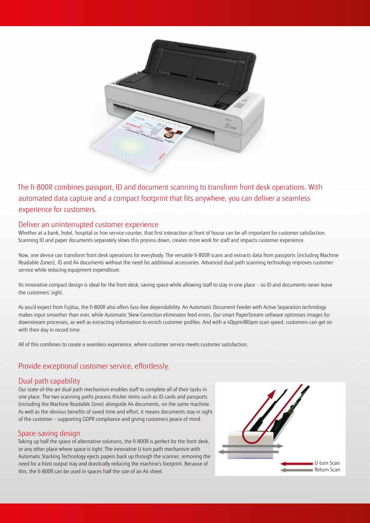

The fi-800R combines passport, ID and document scanning to transform front desk operations. With automated data capture and a compact footprint that fits anywhere, you can deliver a seamless experience for customers.

#### Deliver an uninterrupted customer experience

Whether at a bank, hotel, hospital or hire service counter, that first interaction at front of house can be all-important for customer satisfaction. Scanning ID and paper documents separately slows this process down, creates more work for staff and impacts customer experience.

Now, one device can transform front desk operations for everybody. The versatile fi-800R scans and extracts data from passports (including Machine Readable Zones), ID and A4 documents without the need for additional accessories. Advanced dual path scanning technology improves customer service while reducing equipment expenditure.

Its innovative compact design is ideal for the front desk, saving space while allowing staff to stay in one place – so ID and documents never leave the customers' sight.

As you'd expect from Fujitsu, the fi-800R also offers fuss-free dependability. An Automatic Document Feeder with Active Separation technology makes input smoother than ever, while Automatic Skew Correction eliminates feed errors. Our smart PaperStream software optimises images for downstream processes, as well as extracting information to enrich customer profiles. And with a 40ppm/80ipm scan speed, customers can get on with their day in record time.

All of this combines to create a seamless experience, where customer service meets customer satisfaction.

#### Provide exceptional customer service, effortlessly.

#### Dual path capability

Our state-of-the-art dual path mechanism enables staff to complete all of their tasks in one place. The two scanning paths process thicker items such as ID cards and passports (including the Machine Readable Zone) alongside A4 documents, on the same machine. As well as the obvious benefits of saved time and effort, it means documents stay in sight of the customer – supporting GDPR compliance and giving customers peace of mind.

#### Space-saving design

Taking up half the space of alternative solutions, the fi-800R is perfect for the front desk, or any other place where space is tight. The innovative U-turn path mechanism with Automatic Stacking Technology ejects papers back up through the scanner, removing the need for a front output tray and drastically reducing the machine's footprint. Because of this, the fi-800R can be used in spaces half the size of an A4 sheet.

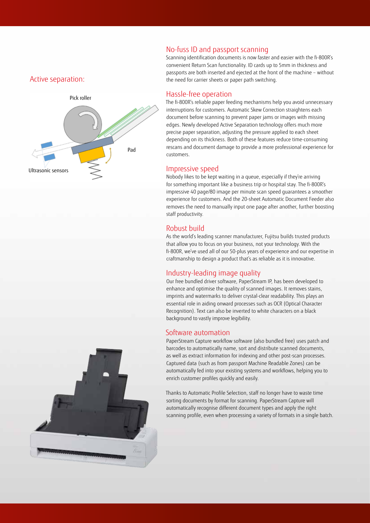#### Active separation:



#### No-fuss ID and passport scanning

Scanning identification documents is now faster and easier with the fi-800R's convenient Return Scan functionality. ID cards up to 5mm in thickness and passports are both inserted and ejected at the front of the machine – without the need for carrier sheets or paper path switching.

#### Hassle-free operation

The fi-800R's reliable paper feeding mechanisms help you avoid unnecessary interruptions for customers. Automatic Skew Correction straightens each document before scanning to prevent paper jams or images with missing edges. Newly developed Active Separation technology offers much more precise paper separation, adjusting the pressure applied to each sheet depending on its thickness. Both of these features reduce time-consuming rescans and document damage to provide a more professional experience for customers.

#### Impressive speed

Nobody likes to be kept waiting in a queue, especially if they're arriving for something important like a business trip or hospital stay. The fi-800R's impressive 40 page/80 image per minute scan speed guarantees a smoother experience for customers. And the 20-sheet Automatic Document Feeder also removes the need to manually input one page after another, further boosting staff productivity.

#### Robust build

As the world's leading scanner manufacturer, Fujitsu builds trusted products that allow you to focus on your business, not your technology. With the fi-800R, we've used all of our 50-plus years of experience and our expertise in craftmanship to design a product that's as reliable as it is innovative.

#### Industry-leading image quality

Our free bundled driver software, PaperStream IP, has been developed to enhance and optimise the quality of scanned images. It removes stains, imprints and watermarks to deliver crystal-clear readability. This plays an essential role in aiding onward processes such as OCR (Optical Character Recognition). Text can also be inverted to white characters on a black background to vastly improve legibility.

#### Software automation

PaperStream Capture workflow software (also bundled free) uses patch and barcodes to automatically name, sort and distribute scanned documents, as well as extract information for indexing and other post-scan processes. Captured data (such as from passport Machine Readable Zones) can be automatically fed into your existing systems and workflows, helping you to enrich customer profiles quickly and easily.

Thanks to Automatic Profile Selection, staff no longer have to waste time sorting documents by format for scanning. PaperStream Capture will automatically recognise different document types and apply the right scanning profile, even when processing a variety of formats in a single batch.